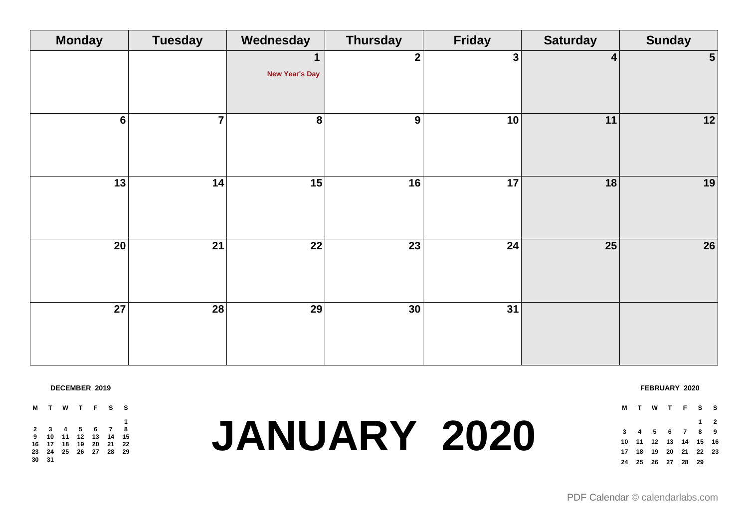| <b>Monday</b> | <b>Tuesday</b> | Wednesday                             | <b>Thursday</b>  | <b>Friday</b> | <b>Saturday</b> | <b>Sunday</b> |
|---------------|----------------|---------------------------------------|------------------|---------------|-----------------|---------------|
|               |                | $\mathbf{1}$<br><b>New Year's Day</b> | $\boldsymbol{2}$ | $\mathbf{3}$  | 4               | 5             |
| 6             | $\overline{7}$ | 8                                     | $\boldsymbol{9}$ | $10$          | 11              | 12            |
| 13            | 14             | 15                                    | 16               | 17            | 18              | 19            |
| 20            | 21             | 22                                    | 23               | 24            | 25              | <b>26</b>     |
| 27            | <b>28</b>      | 29                                    | 30               | 31            |                 |               |

### **DECEMBER 2019**

**M T W T F S S 3 4 5 6 7 8 10 11 12 13 14 15 17 18 19 20 21 22 24 25 26 27 28 29 31**

## **JANUARY 2020**

**M T W T F S S 2 4 5 6 7 8 9 11 12 13 14 15 16 18 19 20 21 22 23**

**25 26 27 28 29**

**FEBRUARY 2020**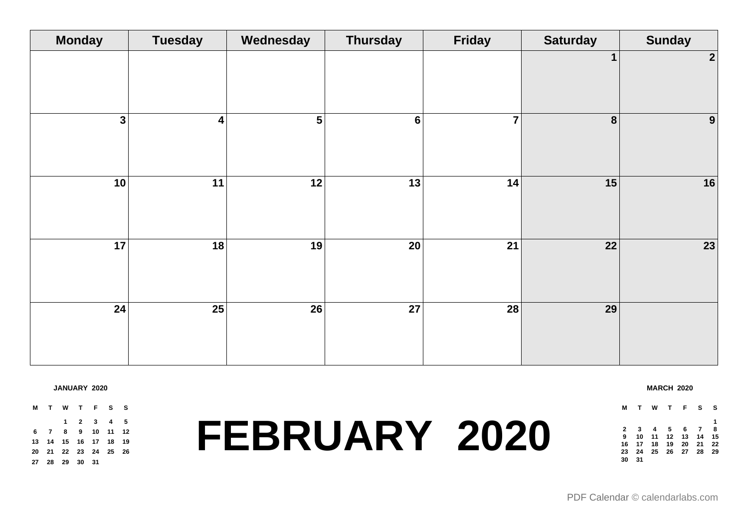| <b>Monday</b>   | <b>Tuesday</b>  | Wednesday      | <b>Thursday</b> | Friday          | <b>Saturday</b> | <b>Sunday</b> |
|-----------------|-----------------|----------------|-----------------|-----------------|-----------------|---------------|
|                 |                 |                |                 |                 | $\mathbf 1$     | $\mathbf{2}$  |
| 3               | 4               | 5 <sup>1</sup> | 6 <sup>1</sup>  | $\overline{7}$  | 8               | 9             |
| 10              | 11              | 12             | 13              | 14              | 15              | 16            |
| $\overline{17}$ | 18              | 19             | $\overline{20}$ | $\overline{21}$ | 22              | 23            |
| 24              | $\overline{25}$ | 26             | 27              | 28              | 29              |               |

**JANUARY 2020**

**M T W T F S S 2 3 4 5 7 8 9 10 11 12 14 15 16 17 18 19 21 22 23 24 25 26 28 29 30 31**

# **FEBRUARY 2020**

**MARCH 2020**

**M T W T F S S**

 **3 4 5 6 7 8 10 11 12 13 14 15 17 18 19 20 21 22 24 25 26 27 28 29**

**31**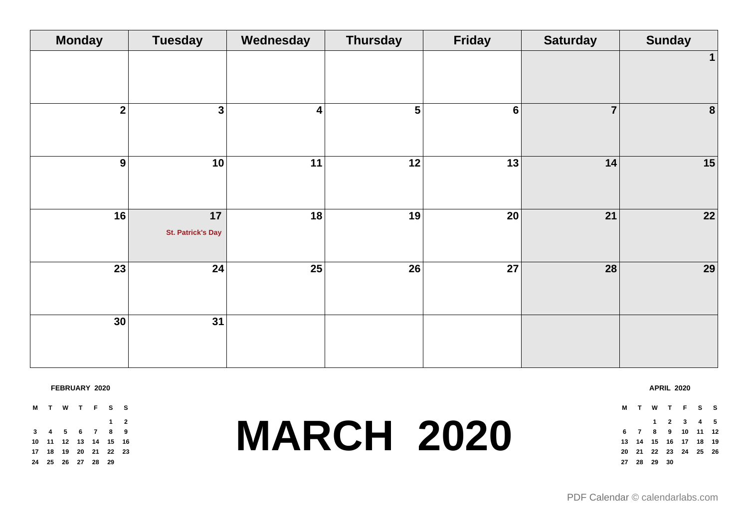| <b>Monday</b> | <b>Tuesday</b>          | Wednesday               | <b>Thursday</b>         | Friday         | <b>Saturday</b> | <b>Sunday</b>   |
|---------------|-------------------------|-------------------------|-------------------------|----------------|-----------------|-----------------|
|               |                         |                         |                         |                |                 | $\mathbf 1$     |
| 2             | $\mathbf{3}$            | $\overline{\mathbf{4}}$ | $\overline{\mathbf{5}}$ | $6\phantom{1}$ | $\overline{7}$  | $\pmb{8}$       |
|               |                         |                         |                         |                |                 |                 |
| 9             | 10                      | 11                      | 12                      | 13             | 14              | 15              |
| 16            | 17<br>St. Patrick's Day | 18                      | 19                      | 20             | 21              | $\overline{22}$ |
| 23            | 24                      | 25                      | 26                      | 27             | 28              | <b>29</b>       |
| 30            | 31                      |                         |                         |                |                 |                 |

### **FEBRUARY 2020**

|  |  | MTWTFSS                |             |
|--|--|------------------------|-------------|
|  |  |                        | $1 \quad 2$ |
|  |  | 3 4 5 6 7 8            | 9           |
|  |  | 10 11 12 13 14 15 16   |             |
|  |  | 17 18 19 20 21 22 23   |             |
|  |  | 24  25  26  27  28  29 |             |

### **MARCH 2020**

**M T W T F S S 2 3 4 5 7 8 9 10 11 12 14 15 16 17 18 19 21 22 23 24 25 26 28 29 30**

**APRIL 2020**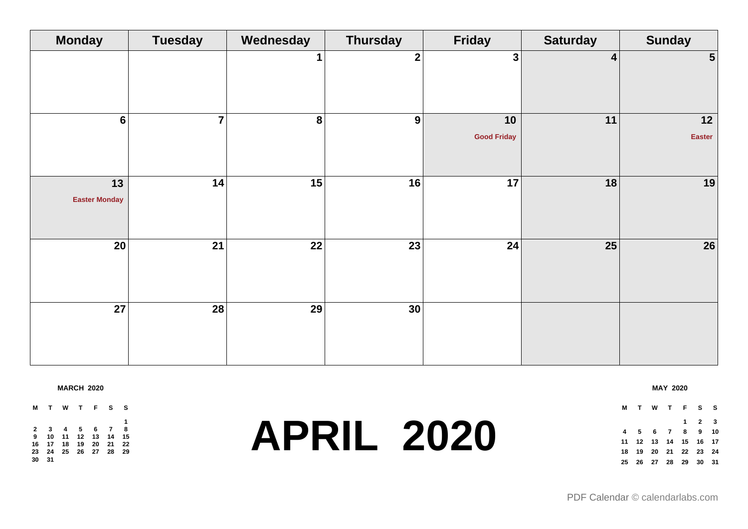| <b>Monday</b>              | <b>Tuesday</b>  | Wednesday | <b>Thursday</b> | Friday                   | <b>Saturday</b> | <b>Sunday</b>           |
|----------------------------|-----------------|-----------|-----------------|--------------------------|-----------------|-------------------------|
|                            |                 | 1         | $\mathbf{2}$    | 3 <sup>1</sup>           | $\overline{4}$  | $\overline{\mathbf{5}}$ |
| 6                          | $\overline{7}$  | 8         | $\overline{9}$  | 10<br><b>Good Friday</b> | 11              | $12$<br><b>Easter</b>   |
| 13<br><b>Easter Monday</b> | 14              | 15        | 16              | 17                       | 18              | 19                      |
| 20                         | 21              | 22        | 23              | 24                       | 25              | <b>26</b>               |
| $\overline{27}$            | $\overline{28}$ | 29        | 30              |                          |                 |                         |

### **MARCH 2020**

| м            |                      |  | TWTFS             | -S  |  |
|--------------|----------------------|--|-------------------|-----|--|
|              |                      |  |                   |     |  |
| $\mathbf{2}$ |                      |  | 3 4 5 6 7         | - 8 |  |
| 9            |                      |  | 10 11 12 13 14 15 |     |  |
|              | 16 17 18 19 20 21 22 |  |                   |     |  |
|              | 23 24 25 26 27 28    |  |                   | -29 |  |
| 30           | - 31                 |  |                   |     |  |

### **APRIL 2020**

| M T W T F S S              |  |                     |  |
|----------------------------|--|---------------------|--|
|                            |  | $1 \quad 2 \quad 3$ |  |
| 4 5 6 7 8 9 10             |  |                     |  |
| 11  12  13  14  15  16  17 |  |                     |  |

 **19 20 21 22 23 24 26 27 28 29 30 31**

**MAY 2020**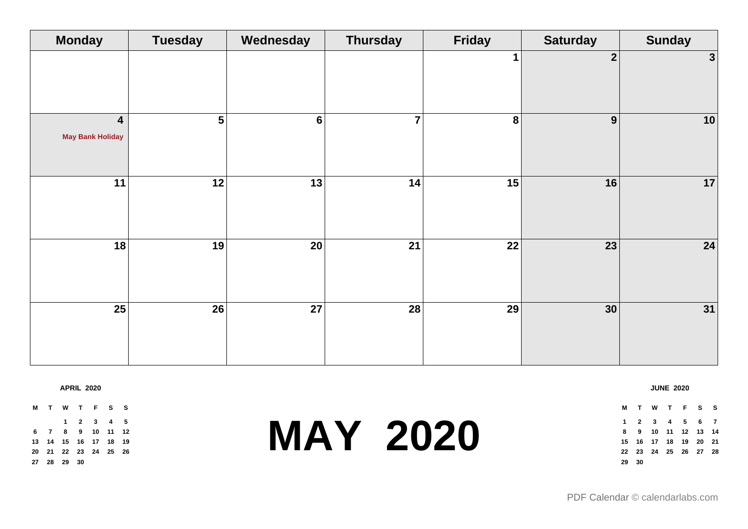| <b>Monday</b>                                      | <b>Tuesday</b> | Wednesday | <b>Thursday</b> | <b>Friday</b>   | <b>Saturday</b> | <b>Sunday</b>  |
|----------------------------------------------------|----------------|-----------|-----------------|-----------------|-----------------|----------------|
|                                                    |                |           |                 | 1               | 2               | 3 <sup>1</sup> |
| $\overline{\mathbf{4}}$<br><b>May Bank Holiday</b> | 5              | 6         | $\overline{7}$  | 8               | $\overline{9}$  | 10             |
| 11                                                 | 12             | 13        | 14              | 15              | 16              | 17             |
| 18                                                 | 19             | 20        | 21              | $\overline{22}$ | 23              | 24             |
| 25                                                 | <b>26</b>      | 27        | 28              | 29              | 30              | 31             |

**APRIL 2020**

**M T W T F S S 2 3 4 5 7 8 9 10 11 12 14 15 16 17 18 19 21 22 23 24 25 26 28 29 30**

# **MAY 2020**

### **M T W T F S S 2 3 4 5 6 7 9 10 11 12 13 14 16 17 18 19 20 21 23 24 25 26 27 28 30**

**JUNE 2020**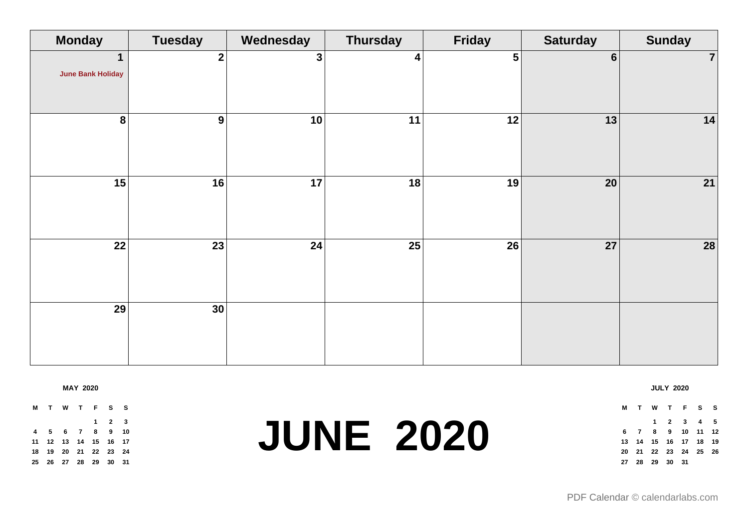| <b>Monday</b>                           | <b>Tuesday</b>   | Wednesday      | <b>Thursday</b> | <b>Friday</b>  | <b>Saturday</b> | <b>Sunday</b>  |
|-----------------------------------------|------------------|----------------|-----------------|----------------|-----------------|----------------|
| $\mathbf 1$<br><b>June Bank Holiday</b> | $\mathbf{2}$     | 3 <sup>1</sup> | $\vert$ 4       | 5 <sup>1</sup> | 6               | $\overline{7}$ |
| 8                                       | $\boldsymbol{9}$ | 10             | 11              | 12             | 13              | 14             |
| 15                                      | 16               | 17             | 18              | 19             | 20              | 21             |
| 22                                      | $\overline{23}$  | 24             | $\overline{25}$ | 26             | 27              | 28             |
| 29                                      | 30               |                |                 |                |                 |                |

**MAY 2020**

**M T W T F S S 2 3 5 6 7 8 9 10 12 13 14 15 16 17 19 20 21 22 23 24 26 27 28 29 30 31**

### **JUNE 2020**

**JULY 2020**

**M T W T F S S**

 **2 3 4 5 7 8 9 10 11 12 14 15 16 17 18 19 21 22 23 24 25 26 28 29 30 31**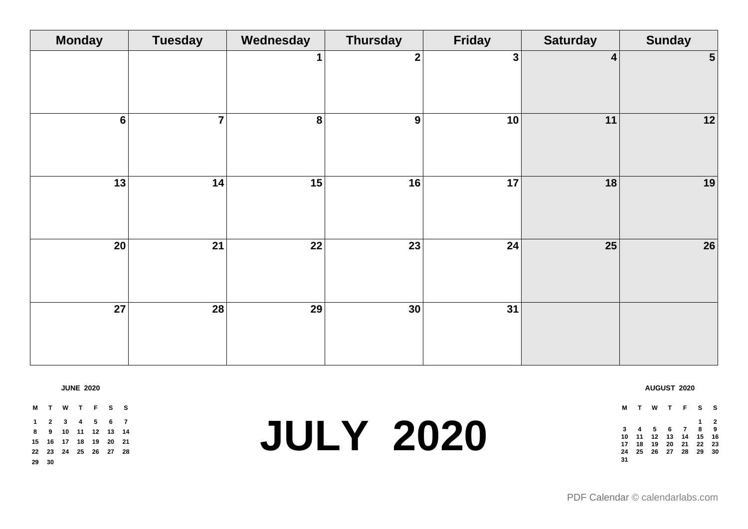| <b>Monday</b> | <b>Tuesday</b> | Wednesday | <b>Thursday</b>  | <b>Friday</b> | <b>Saturday</b> | <b>Sunday</b> |
|---------------|----------------|-----------|------------------|---------------|-----------------|---------------|
|               |                | 1         | $\mathbf{2}$     | $\mathbf{3}$  | 4               | 5             |
| 6             | $\overline{7}$ | 8         | $\boldsymbol{9}$ | 10            | 11              | 12            |
| 13            | 14             | 15        | 16               | 17            | 18              | 19            |
| 20            | 21             | 22        | 23               | 24            | 25              | <b>26</b>     |
| 27            | 28             | 29        | 30               | 31            |                 |               |

**JUNE 2020**

**M T W T F S S 2 3 4 5 6 7 9 10 11 12 13 14 16 17 18 19 20 21 23 24 25 26 27 28 30**

### **JULY 2020**

**M T W T F S S 2 4 5 6 7 8 9 11 12 13 14 15 16 18 19 20 21 22 23 25 26 27 28 29 30** 

**AUGUST 2020**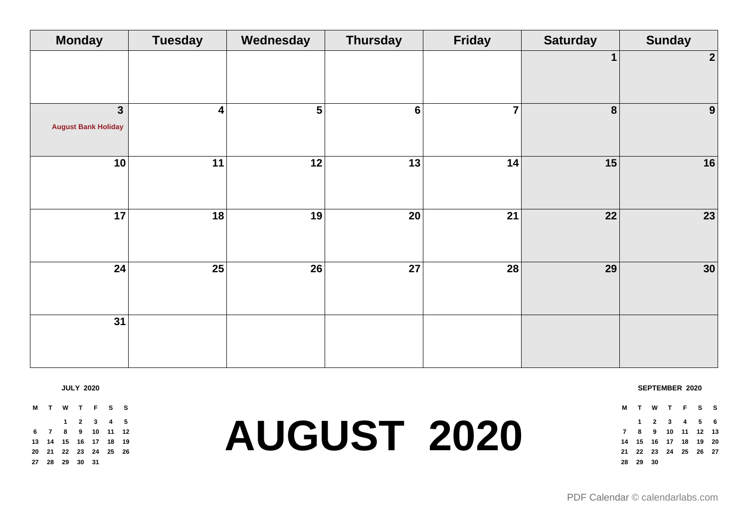| <b>Monday</b>                              | <b>Tuesday</b>  | Wednesday       | <b>Thursday</b> | <b>Friday</b>            | <b>Saturday</b> | <b>Sunday</b>    |
|--------------------------------------------|-----------------|-----------------|-----------------|--------------------------|-----------------|------------------|
|                                            |                 |                 |                 |                          | $\mathbf 1$     | $\overline{2}$   |
| $\mathbf{3}$<br><b>August Bank Holiday</b> | $\vert$ 4       | 5               | $6\phantom{1}$  | $\overline{7}$           | 8               | $\boldsymbol{9}$ |
| 10                                         | 11              | 12              | 13              | 14                       | 15              | 16               |
| 17                                         | 18              | 19              | $\overline{20}$ | $\overline{21}$          | 22              | $\overline{23}$  |
| 24                                         | $\overline{25}$ | $\overline{26}$ | $\overline{27}$ | $\overline{\mathbf{28}}$ | 29              | 30               |
| 31                                         |                 |                 |                 |                          |                 |                  |

**JULY 2020**

**M T W T F S S 2 3 4 5 7 8 9 10 11 12 14 15 16 17 18 19 21 22 23 24 25 26 28 29 30 31**

# **AUGUST 2020**

### **SEPTEMBER 2020**

**M T W T F S S 2 3 4 5 6 8 9 10 11 12 13 15 16 17 18 19 20 22 23 24 25 26 27 29 30**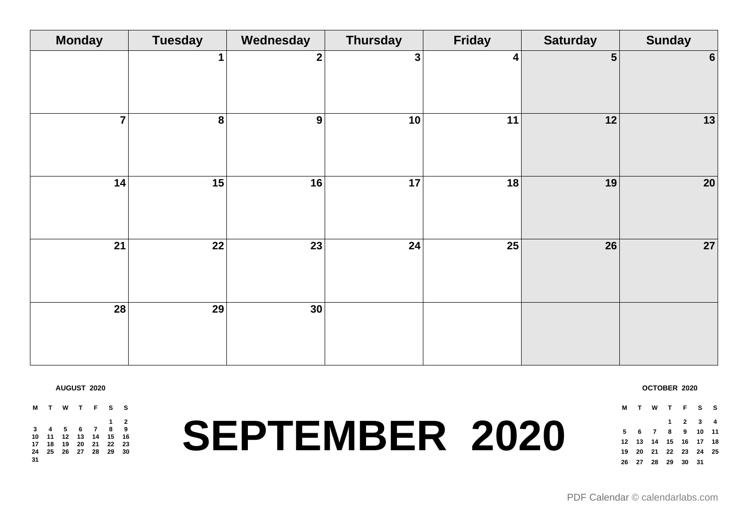| <b>Monday</b>  | <b>Tuesday</b>   | Wednesday      | <b>Thursday</b> | <b>Friday</b>   | <b>Saturday</b> | <b>Sunday</b>   |
|----------------|------------------|----------------|-----------------|-----------------|-----------------|-----------------|
|                |                  | $\mathbf{2}$   | 3               | 4               | $5\phantom{1}$  | $6 \mid$        |
| $\overline{7}$ | $\boldsymbol{8}$ | $\overline{9}$ | 10              | 11              | 12              | 13              |
| 14             | $\overline{15}$  | 16             | 17              | 18              | 19              | 20 <sub>2</sub> |
| 21             | $\overline{22}$  | 23             | 24              | $\overline{25}$ | 26              | 27              |
| 28             | 29               | 30             |                 |                 |                 |                 |

**AUGUST 2020**

**M T W T F S S 2 4 5 6 7 8 9 11 12 13 14 15 16 18 19 20 21 22 23**

 **25 26 27 28 29 30** 

# **SEPTEMBER 2020**

**OCTOBER 2020**

**M T W T F S S 2 3 4 6 7 8 9 10 11 13 14 15 16 17 18 20 21 22 23 24 25 27 28 29 30 31**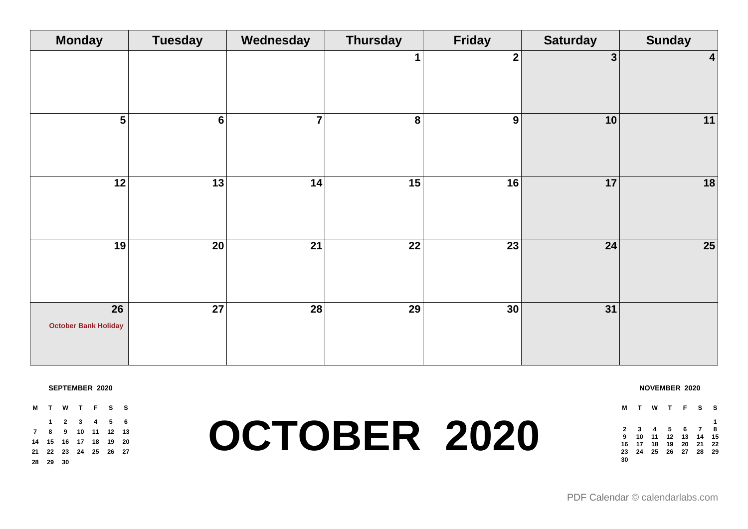| <b>Monday</b>                     | <b>Tuesday</b>  | Wednesday       | <b>Thursday</b> | <b>Friday</b>   | <b>Saturday</b> | <b>Sunday</b> |
|-----------------------------------|-----------------|-----------------|-----------------|-----------------|-----------------|---------------|
|                                   |                 |                 |                 | $\mathbf{2}$    | $\mathbf{3}$    | 4             |
| 5                                 | $6\phantom{1}$  | $\overline{7}$  | ${\bf 8}$       | 9               | 10              | 11            |
| 12                                | 13              | 14              | 15              | 16              | 17              | 18            |
| 19                                | 20              | 21              | 22              | 23              | 24              | 25            |
| 26<br><b>October Bank Holiday</b> | $\overline{27}$ | $\overline{28}$ | 29              | $\overline{30}$ | 31              |               |

### **SEPTEMBER 2020**

**M T W T F S S 2 3 4 5 6 8 9 10 11 12 13 15 16 17 18 19 20 22 23 24 25 26 27 29 30**

### **OCTOBER 2020**

**M T W T F S S 3 4 5 6 7 8 10 11 12 13 14 15 17 18 19 20 21 22 24 25 26 27 28 29** 

**NOVEMBER 2020**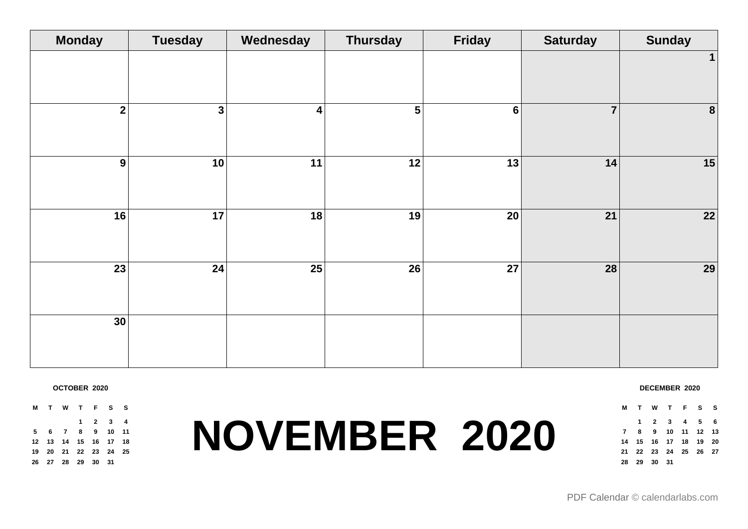| <b>Monday</b>   | <b>Tuesday</b>  | Wednesday               | <b>Thursday</b> | <b>Friday</b>   | <b>Saturday</b> | <b>Sunday</b>   |
|-----------------|-----------------|-------------------------|-----------------|-----------------|-----------------|-----------------|
|                 |                 |                         |                 |                 |                 | $\mathbf 1$     |
|                 |                 |                         |                 |                 |                 |                 |
| $\mathbf{2}$    | 3 <sup>1</sup>  | $\overline{\mathbf{4}}$ | $5\phantom{a}$  | $6\phantom{a}$  | $\overline{7}$  | $\pmb{8}$       |
|                 |                 |                         |                 |                 |                 |                 |
| 9               | 10              | 11                      | 12              | 13              | 14              | 15              |
|                 |                 |                         |                 |                 |                 |                 |
| $\overline{16}$ | $\overline{17}$ | 18                      | 19              | 20 <sub>l</sub> | $\overline{21}$ | $\overline{22}$ |
|                 |                 |                         |                 |                 |                 |                 |
| 23              | 24              | $\overline{25}$         | $\overline{26}$ | $\overline{27}$ | $\overline{28}$ | <b>29</b>       |
|                 |                 |                         |                 |                 |                 |                 |
| 30              |                 |                         |                 |                 |                 |                 |
|                 |                 |                         |                 |                 |                 |                 |
|                 |                 |                         |                 |                 |                 |                 |

**OCTOBER 2020**

**M T W T F S S 2 3 4 6 7 8 9 10 11 13 14 15 16 17 18 20 21 22 23 24 25 27 28 29 30 31**

# **NOVEMBER 2020**

**DECEMBER 2020**

**M T W T F S S 2 3 4 5 6 8 9 10 11 12 13 15 16 17 18 19 20 22 23 24 25 26 27 29 30 31**